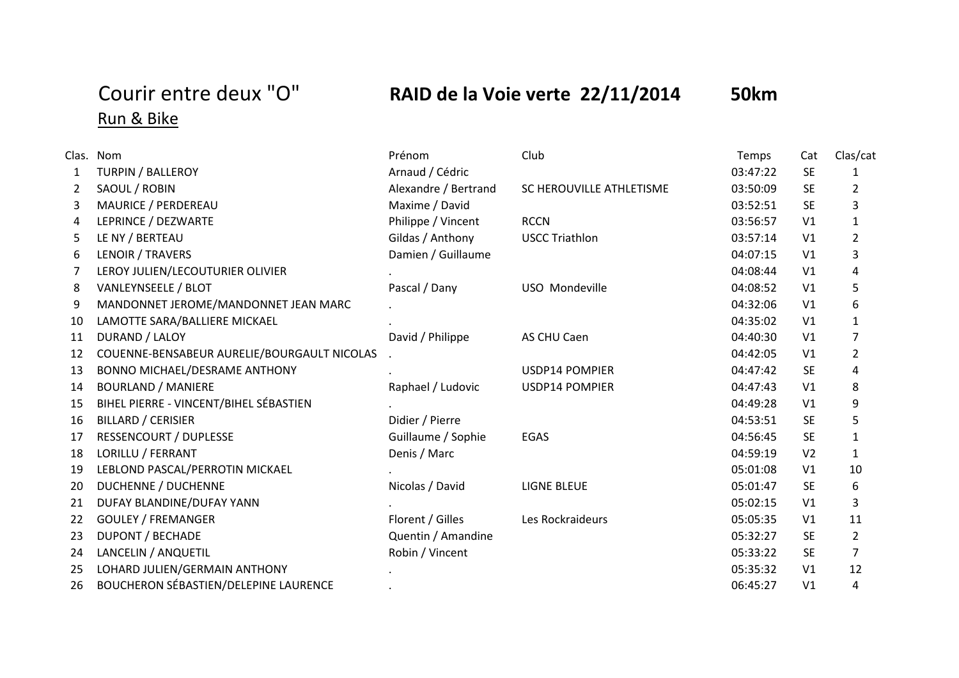## Run & Bike

## Courir entre deux "O" **RAID de la Voie verte 22/11/2014 50km**

## Clas. Nom Prénom Club Temps Cat Clas/cat 1 TURPIN / BALLEROY Arnaud / Cédric 03:47:22 SE 1 2 SAOUL / ROBIN Alexandre / Bertrand SC HEROUVILLE ATHLETISME 03:50:09 SE 2 3 MAURICE / PERDEREAU CHARRY MAXIME / David CHARRY David CHARRY OS:52:51 SE 3 4 LEPRINCE / DEZWARTE Philippe / Vincent RCCN 03:56:57 V1 1 5 LE NY / BERTEAU Gildas / Anthony USCC Triathlon 03:57:14 V1 2 6 LENOIR / TRAVERS Damien / Guillaume 04:07:15 V1 3 7 LEROY JULIEN/LECOUTURIER OLIVIER . 04:08:44 V1 4 8 VANLEYNSEELE / BLOT CONTROLLERGY OF THE PASCAL / Dany CONSIDENCY USO Mondeville COMPOSITION OF DA:08:52 V1 5 9 MANDONNET JEROME/MANDONNET JEAN MARC . 04:32:06 V1 6 10 LAMOTTE SARA/BALLIERE MICKAEL **1** and 2001 . And 2001 . The contract of the contract of the contract of the contract of the contract of the contract of the contract of the contract of the contract of the contract of the 11 DURAND / LALOY CHAROCALOR CONTROLLY David / Philippe AS CHU Caen COMPLETED O4:40:30 V1 7 12 COUENNE-BENSABEUR AURELIE/BOURGAULT NICOLAS . 04:42:05 V1 2 13 BONNO MICHAEL/DESRAME ANTHONY . USDP14 POMPIER 04:47:42 SE 4 14 BOURLAND / MANIERE Raphael / Ludovic USDP14 POMPIER 04:47:43 V1 8 15 BIHEL PIERRE - VINCENT/BIHEL SÉBASTIEN . 04:49:28 V1 9 16 BILLARD / CERISIER 5 Didier / Pierre 1990 Didier / Pierre 1990 Didier / Pierre 1990 Didier / Pierre 1990 Didier / Pierre 1990 Didier / Pierre 1990 Didier / Pierre 1990 Didier / Pierre 1990 Didier / Pierre 1990 Didier / 17 RESSENCOURT / DUPLESSE Guillaume / Sophie EGAS 04:56:45 SE 1 18 LORILLU / FERRANT Denis / Marc 04:59:19 V2 1 19 LEBLOND PASCAL/PERROTIN MICKAEL . 05:01:08 V1 10 20 DUCHENNE / DUCHENNE CHENNE Nicolas / David LIGNE BLEUE 05:01:47 SE 6 21 DUFAY BLANDINE/DUFAY YANN . 05:02:15 V1 3 22 GOULEY / FREMANGER Florent / Gilles Les Rockraideurs COS:05:35 V1 11 23 DUPONT / BECHADE 2 Cuentin / Amandine 2 Cuentin / Amandine 05:32:27 SE 2 24 LANCELIN / ANQUETIL **CONTRACT CONTRACT CONTRACT ROBIN / Vincent** CONTRACT CONTRACT CONTRACT CONTRACT CONTRACT CONTRACT CONTRACT CONTRACT CONTRACT CONTRACT CONTRACT CONTRACT CONTRACT CONTRACT CONTRACT CONTRACT CONTRACT C 25 LOHARD JULIEN/GERMAIN ANTHONY . 05:35:32 V1 12 26 BOUCHERON SÉBASTIEN/DELEPINE LAURENCE . 06:45:27 V1 4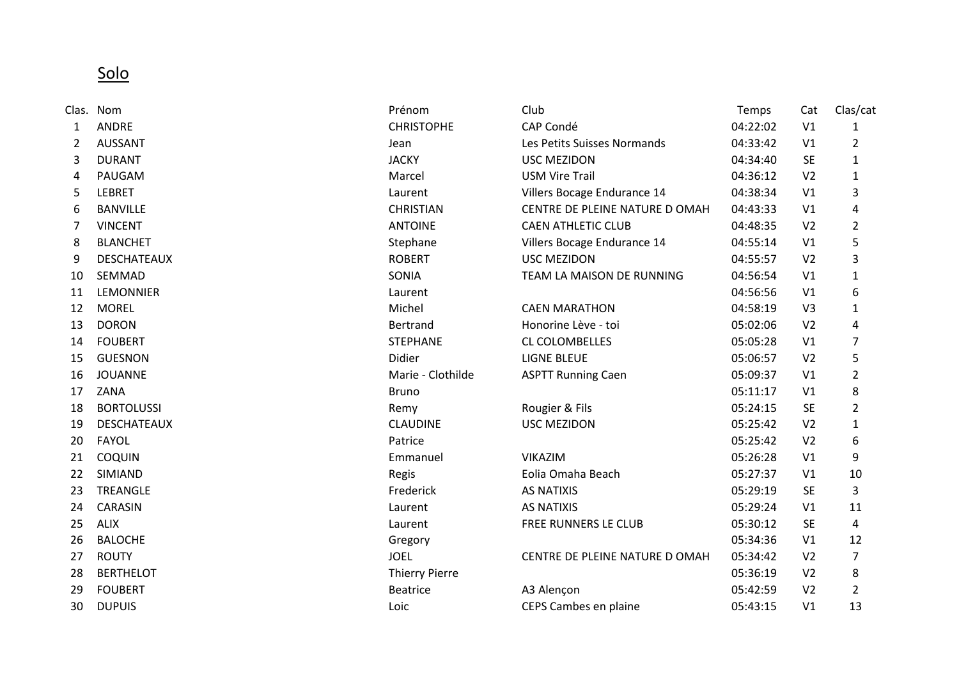Solo

|    | Clas. Nom          | Prénom                | Club                          | Temps    | Cat            | Clas/cat       |
|----|--------------------|-----------------------|-------------------------------|----------|----------------|----------------|
| 1  | <b>ANDRE</b>       | <b>CHRISTOPHE</b>     | CAP Condé                     | 04:22:02 | V <sub>1</sub> | 1              |
| 2  | <b>AUSSANT</b>     | Jean                  | Les Petits Suisses Normands   | 04:33:42 | V <sub>1</sub> | $\overline{2}$ |
| 3  | <b>DURANT</b>      | <b>JACKY</b>          | <b>USC MEZIDON</b>            | 04:34:40 | <b>SE</b>      | $\mathbf{1}$   |
| 4  | PAUGAM             | Marcel                | <b>USM Vire Trail</b>         | 04:36:12 | V <sub>2</sub> | $\mathbf{1}$   |
| 5  | <b>LEBRET</b>      | Laurent               | Villers Bocage Endurance 14   | 04:38:34 | V1             | 3              |
| 6  | <b>BANVILLE</b>    | <b>CHRISTIAN</b>      | CENTRE DE PLEINE NATURE DOMAH | 04:43:33 | V1             | 4              |
| 7  | <b>VINCENT</b>     | <b>ANTOINE</b>        | <b>CAEN ATHLETIC CLUB</b>     | 04:48:35 | V <sub>2</sub> | $\overline{2}$ |
| 8  | <b>BLANCHET</b>    | Stephane              | Villers Bocage Endurance 14   | 04:55:14 | V <sub>1</sub> | 5              |
| 9  | <b>DESCHATEAUX</b> | <b>ROBERT</b>         | <b>USC MEZIDON</b>            | 04:55:57 | V <sub>2</sub> | 3              |
| 10 | SEMMAD             | SONIA                 | TEAM LA MAISON DE RUNNING     | 04:56:54 | V1             | 1              |
| 11 | <b>LEMONNIER</b>   | Laurent               |                               | 04:56:56 | V1             | 6              |
| 12 | <b>MOREL</b>       | Michel                | <b>CAEN MARATHON</b>          | 04:58:19 | V <sub>3</sub> | 1              |
| 13 | <b>DORON</b>       | Bertrand              | Honorine Lève - toi           | 05:02:06 | V <sub>2</sub> | 4              |
| 14 | <b>FOUBERT</b>     | <b>STEPHANE</b>       | <b>CL COLOMBELLES</b>         | 05:05:28 | V1             | $\overline{7}$ |
| 15 | <b>GUESNON</b>     | Didier                | <b>LIGNE BLEUE</b>            | 05:06:57 | V <sub>2</sub> | 5              |
| 16 | <b>JOUANNE</b>     | Marie - Clothilde     | <b>ASPTT Running Caen</b>     | 05:09:37 | V1             | $\overline{2}$ |
| 17 | ZANA               | <b>Bruno</b>          |                               | 05:11:17 | V <sub>1</sub> | 8              |
| 18 | <b>BORTOLUSSI</b>  | Remy                  | Rougier & Fils                | 05:24:15 | <b>SE</b>      | 2              |
| 19 | <b>DESCHATEAUX</b> | <b>CLAUDINE</b>       | <b>USC MEZIDON</b>            | 05:25:42 | V <sub>2</sub> | 1              |
| 20 | <b>FAYOL</b>       | Patrice               |                               | 05:25:42 | V <sub>2</sub> | 6              |
| 21 | COQUIN             | Emmanuel              | <b>VIKAZIM</b>                | 05:26:28 | V1             | 9              |
| 22 | SIMIAND            | Regis                 | Eolia Omaha Beach             | 05:27:37 | V1             | 10             |
| 23 | <b>TREANGLE</b>    | Frederick             | <b>AS NATIXIS</b>             | 05:29:19 | <b>SE</b>      | 3              |
| 24 | <b>CARASIN</b>     | Laurent               | <b>AS NATIXIS</b>             | 05:29:24 | V1             | 11             |
| 25 | <b>ALIX</b>        | Laurent               | FREE RUNNERS LE CLUB          | 05:30:12 | <b>SE</b>      | 4              |
| 26 | <b>BALOCHE</b>     | Gregory               |                               | 05:34:36 | V1             | 12             |
| 27 | <b>ROUTY</b>       | <b>JOEL</b>           | CENTRE DE PLEINE NATURE DOMAH | 05:34:42 | V <sub>2</sub> | 7              |
| 28 | <b>BERTHELOT</b>   | <b>Thierry Pierre</b> |                               | 05:36:19 | V <sub>2</sub> | 8              |
| 29 | <b>FOUBERT</b>     | <b>Beatrice</b>       | A3 Alençon                    | 05:42:59 | V <sub>2</sub> | $\overline{2}$ |
| 30 | <b>DUPUIS</b>      | Loic                  | CEPS Cambes en plaine         | 05:43:15 | V <sub>1</sub> | 13             |